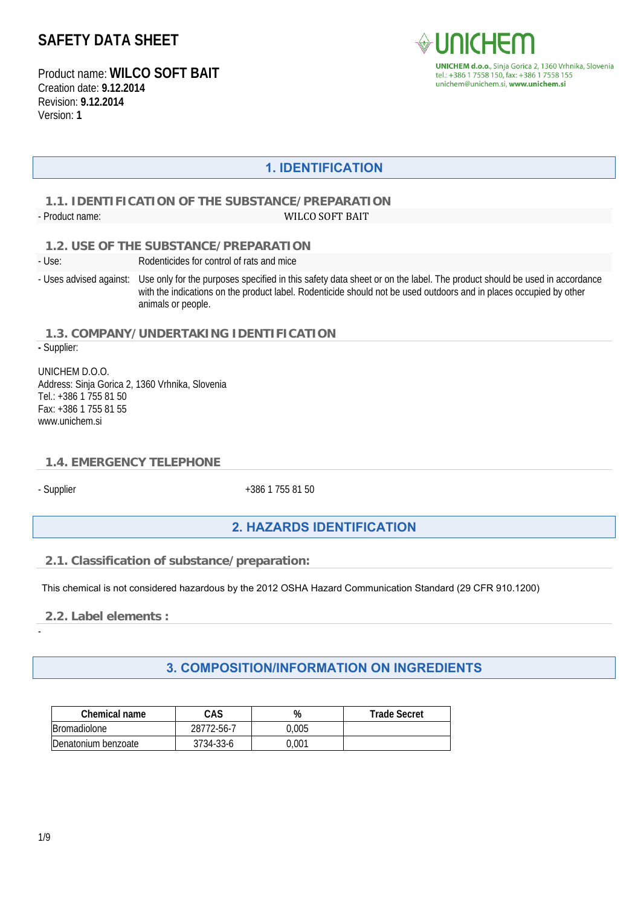Product name: **WILCO SOFT BAIT** Creation date: **9.12.2014** Revision: **9.12.2014** Version: **1**



## **1. IDENTIFICATION**

### **1.1. IDENTIFICATION OF THE SUBSTANCE/PREPARATION**  - Product name: WILCO SOFT BAIT

 **1.2. USE OF THE SUBSTANCE/PREPARATION** 

- Use: Rodenticides for control of rats and mice

- Uses advised against: Use only for the purposes specified in this safety data sheet or on the label. The product should be used in accordance with the indications on the product label. Rodenticide should not be used outdoors and in places occupied by other animals or people.

 **1.3. COMPANY/UNDERTAKING IDENTIFICATION -** Supplier:

UNICHEM D.O.O. Address: Sinja Gorica 2, 1360 Vrhnika, Slovenia Tel.: +386 1 755 81 50 Fax: +386 1 755 81 55 www.unichem.si

### **1.4. EMERGENCY TELEPHONE**

- Supplier +386 1 755 81 50

## **2. HAZARDS IDENTIFICATION**

#### **2.1. Classification of substance/preparation:**

This chemical is not considered hazardous by the 2012 OSHA Hazard Communication Standard (29 CFR 910.1200)

 **2.2. Label elements :** 

-

## **3. COMPOSITION/INFORMATION ON INGREDIENTS**

| Chemical name       | CAS        | %     | <b>Trade Secret</b> |
|---------------------|------------|-------|---------------------|
| Bromadiolone        | 28772-56-7 | 0.005 |                     |
| Denatonium benzoate | 3734-33-6  | 0.001 |                     |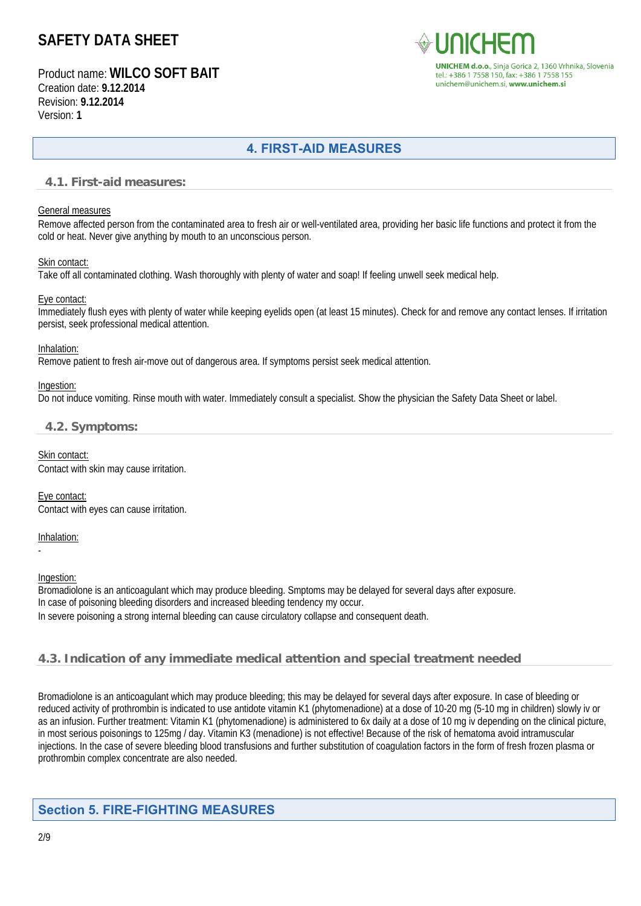Product name: **WILCO SOFT BAIT** Creation date: **9.12.2014** Revision: **9.12.2014** Version: **1**



## **4. FIRST-AID MEASURES**

#### **4.1. First-aid measures:**

#### General measures

Remove affected person from the contaminated area to fresh air or well-ventilated area, providing her basic life functions and protect it from the cold or heat. Never give anything by mouth to an unconscious person.

#### Skin contact:

Take off all contaminated clothing. Wash thoroughly with plenty of water and soap! If feeling unwell seek medical help.

#### Eye contact:

Immediately flush eyes with plenty of water while keeping eyelids open (at least 15 minutes). Check for and remove any contact lenses. If irritation persist, seek professional medical attention.

#### Inhalation:

Remove patient to fresh air-move out of dangerous area. If symptoms persist seek medical attention.

#### Ingestion:

Do not induce vomiting. Rinse mouth with water. Immediately consult a specialist. Show the physician the Safety Data Sheet or label.

### **4.2. Symptoms:**

Skin contact: Contact with skin may cause irritation.

Eye contact: Contact with eyes can cause irritation.

#### Inhalation:

-

#### Ingestion:

Bromadiolone is an anticoagulant which may produce bleeding. Smptoms may be delayed for several days after exposure. In case of poisoning bleeding disorders and increased bleeding tendency my occur. In severe poisoning a strong internal bleeding can cause circulatory collapse and consequent death.

## **4.3. Indication of any immediate medical attention and special treatment needed**

Bromadiolone is an anticoagulant which may produce bleeding; this may be delayed for several days after exposure. In case of bleeding or reduced activity of prothrombin is indicated to use antidote vitamin K1 (phytomenadione) at a dose of 10-20 mg (5-10 mg in children) slowly iv or as an infusion. Further treatment: Vitamin K1 (phytomenadione) is administered to 6x daily at a dose of 10 mg iv depending on the clinical picture, in most serious poisonings to 125mg / day. Vitamin K3 (menadione) is not effective! Because of the risk of hematoma avoid intramuscular injections. In the case of severe bleeding blood transfusions and further substitution of coagulation factors in the form of fresh frozen plasma or prothrombin complex concentrate are also needed.

## **Section 5. FIRE-FIGHTING MEASURES**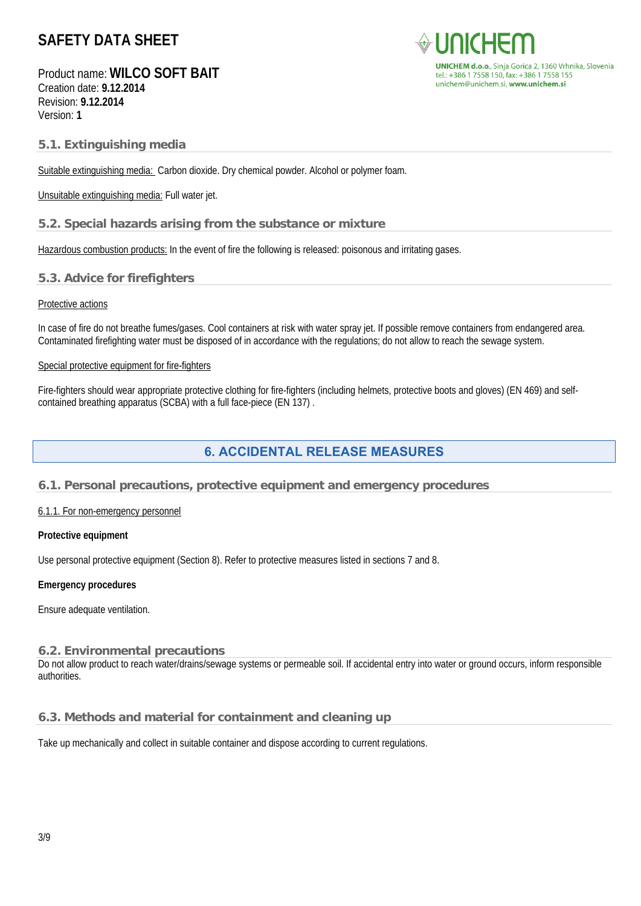Product name: **WILCO SOFT BAIT** Creation date: **9.12.2014** Revision: **9.12.2014** Version: **1**



#### **5.1. Extinguishing media**

Suitable extinguishing media: Carbon dioxide. Dry chemical powder. Alcohol or polymer foam.

Unsuitable extinguishing media: Full water jet.

#### **5.2. Special hazards arising from the substance or mixture**

Hazardous combustion products: In the event of fire the following is released: poisonous and irritating gases.

#### **5.3. Advice for firefighters**

#### Protective actions

In case of fire do not breathe fumes/gases. Cool containers at risk with water spray jet. If possible remove containers from endangered area. Contaminated firefighting water must be disposed of in accordance with the regulations; do not allow to reach the sewage system.

#### Special protective equipment for fire-fighters

Fire-fighters should wear appropriate protective clothing for fire-fighters (including helmets, protective boots and gloves) (EN 469) and selfcontained breathing apparatus (SCBA) with a full face-piece (EN 137) .

## **6. ACCIDENTAL RELEASE MEASURES**

#### **6.1. Personal precautions, protective equipment and emergency procedures**

#### 6.1.1. For non-emergency personnel

#### **Protective equipment**

Use personal protective equipment (Section 8). Refer to protective measures listed in sections 7 and 8.

#### **Emergency procedures**

Ensure adequate ventilation.

#### **6.2. Environmental precautions**

Do not allow product to reach water/drains/sewage systems or permeable soil. If accidental entry into water or ground occurs, inform responsible authorities.

#### **6.3. Methods and material for containment and cleaning up**

Take up mechanically and collect in suitable container and dispose according to current regulations.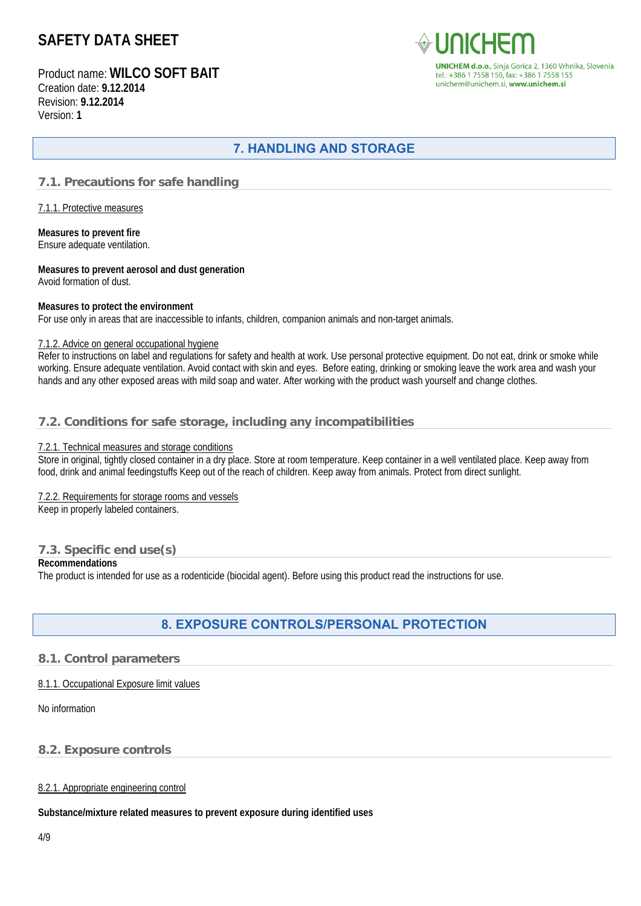Product name: **WILCO SOFT BAIT** Creation date: **9.12.2014** Revision: **9.12.2014** Version: **1**



CHEM d.o.o., Sinja Gorica 2, 1360 Vrhnika, Slovenia tel.: +386 1 7558 150, fax: +386 1 7558 155 unichem@unichem.si. www.unichem.si

# **7. HANDLING AND STORAGE**

### **7.1. Precautions for safe handling**

7.1.1. Protective measures

**Measures to prevent fire**  Ensure adequate ventilation.

**Measures to prevent aerosol and dust generation**  Avoid formation of dust.

#### **Measures to protect the environment**

For use only in areas that are inaccessible to infants, children, companion animals and non-target animals.

#### 7.1.2. Advice on general occupational hygiene

Refer to instructions on label and regulations for safety and health at work. Use personal protective equipment. Do not eat, drink or smoke while working. Ensure adequate ventilation. Avoid contact with skin and eyes. Before eating, drinking or smoking leave the work area and wash your hands and any other exposed areas with mild soap and water. After working with the product wash yourself and change clothes.

### **7.2. Conditions for safe storage, including any incompatibilities**

#### 7.2.1. Technical measures and storage conditions

Store in original, tightly closed container in a dry place. Store at room temperature. Keep container in a well ventilated place. Keep away from food, drink and animal feedingstuffs Keep out of the reach of children. Keep away from animals. Protect from direct sunlight.

#### 7.2.2. Requirements for storage rooms and vessels

Keep in properly labeled containers.

### **7.3. Specific end use(s)**

#### **Recommendations**

The product is intended for use as a rodenticide (biocidal agent). Before using this product read the instructions for use.

## **8. EXPOSURE CONTROLS/PERSONAL PROTECTION**

#### **8.1. Control parameters**

#### 8.1.1. Occupational Exposure limit values

#### No information

#### **8.2. Exposure controls**

#### 8.2.1. Appropriate engineering control

**Substance/mixture related measures to prevent exposure during identified uses**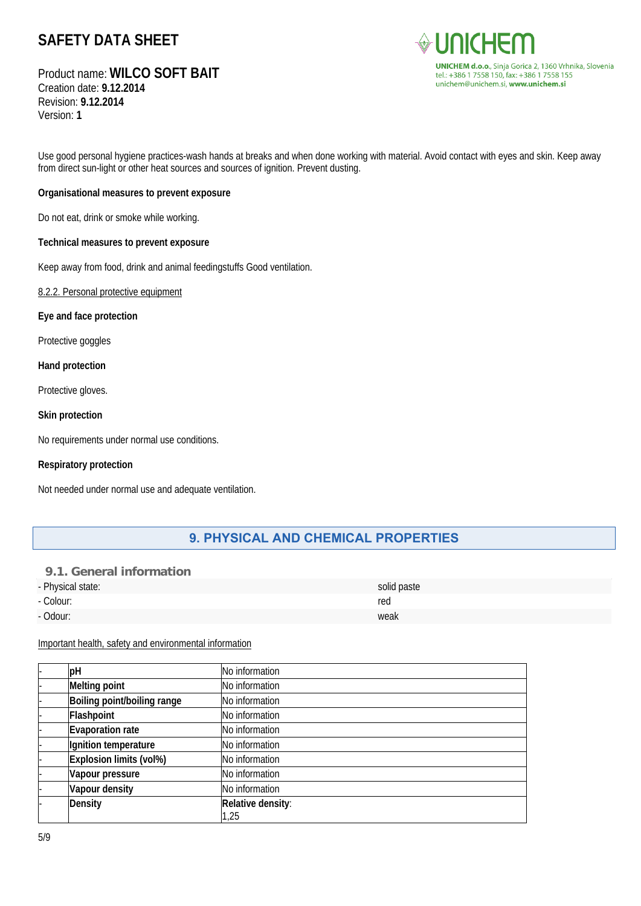# Product name: **WILCO SOFT BAIT**

Creation date: **9.12.2014** Revision: **9.12.2014** Version: **1**



Use good personal hygiene practices-wash hands at breaks and when done working with material. Avoid contact with eyes and skin. Keep away from direct sun-light or other heat sources and sources of ignition. Prevent dusting.

#### **Organisational measures to prevent exposure**

Do not eat, drink or smoke while working.

#### **Technical measures to prevent exposure**

Keep away from food, drink and animal feedingstuffs Good ventilation.

8.2.2. Personal protective equipment

**Eye and face protection** 

Protective goggles

**Hand protection** 

Protective gloves.

#### **Skin protection**

No requirements under normal use conditions.

#### **Respiratory protection**

Not needed under normal use and adequate ventilation.

## **9. PHYSICAL AND CHEMICAL PROPERTIES**

### **9.1. General information**

| - Physical state: | solid paste |
|-------------------|-------------|
| - Colour:         | red         |
| - Odour:          | weak        |

#### Important health, safety and environmental information

| рH                          | No information    |
|-----------------------------|-------------------|
| <b>Melting point</b>        | No information    |
| Boiling point/boiling range | No information    |
| Flashpoint                  | No information    |
| <b>Evaporation rate</b>     | No information    |
| Ignition temperature        | No information    |
| Explosion limits (vol%)     | No information    |
| Vapour pressure             | No information    |
| Vapour density              | No information    |
| <b>Density</b>              | Relative density: |
|                             | 1,25              |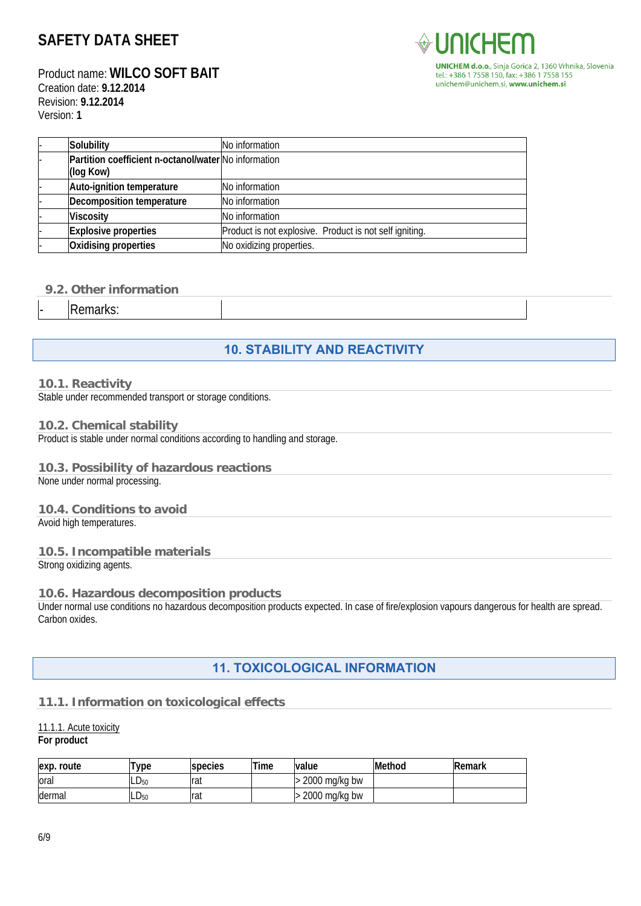Product name: **WILCO SOFT BAIT** Creation date: **9.12.2014** Revision: **9.12.2014** Version: **1**



| Solubility                                           | No information                                          |
|------------------------------------------------------|---------------------------------------------------------|
| Partition coefficient n-octanol/water No information |                                                         |
| (log Kow)                                            |                                                         |
| Auto-ignition temperature                            | No information                                          |
| Decomposition temperature                            | No information                                          |
| <b>Viscosity</b>                                     | No information                                          |
| <b>Explosive properties</b>                          | Product is not explosive. Product is not self igniting. |
| Oxidising properties                                 | No oxidizing properties.                                |

### **9.2. Other information**

Remarks:

# **10. STABILITY AND REACTIVITY**

#### **10.1. Reactivity**

Stable under recommended transport or storage conditions.

#### **10.2. Chemical stability**

Product is stable under normal conditions according to handling and storage.

#### **10.3. Possibility of hazardous reactions**

None under normal processing.

#### **10.4. Conditions to avoid**

Avoid high temperatures.

#### **10.5. Incompatible materials**

Strong oxidizing agents.

#### **10.6. Hazardous decomposition products**

Under normal use conditions no hazardous decomposition products expected. In case of fire/explosion vapours dangerous for health are spread. Carbon oxides.

## **11. TOXICOLOGICAL INFORMATION**

#### **11.1. Information on toxicological effects**

# 11.1.1. Acute toxicity

## **For product**

| lexp.<br>route | 'ype      | species | Time | value            | Method | <b>Remark</b> |
|----------------|-----------|---------|------|------------------|--------|---------------|
| ora            | $LD_{50}$ | rat     |      | mg/kg bw<br>2000 |        |               |
| dermal         | $LD_{50}$ | Irat    |      | 2000<br>mg/kg bw |        |               |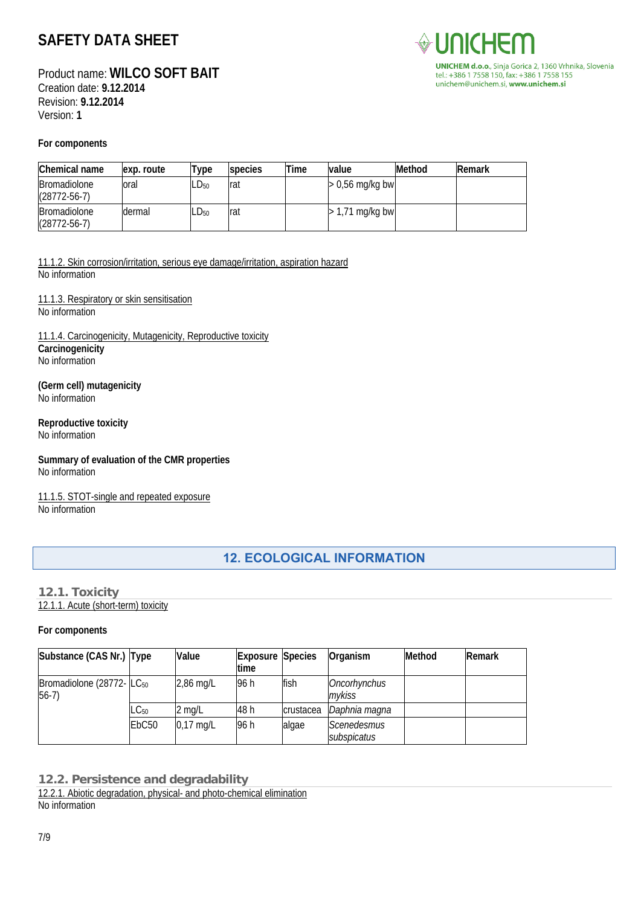Product name: **WILCO SOFT BAIT** Creation date: **9.12.2014** Revision: **9.12.2014** Version: **1**



## **For components**

| Chemical name                             | exp. route | Type             | species | Time | value             | <b>Method</b> | <b>IRemark</b> |
|-------------------------------------------|------------|------------------|---------|------|-------------------|---------------|----------------|
| <b>Bromadiolone</b><br>$(28772 - 56 - 7)$ | oral       | $LD_{50}$        | Irat    |      | $> 0.56$ mg/kg bw |               |                |
| Bromadiolone<br>$(28772 - 56 - 7)$        | dermal     | LD <sub>50</sub> | Irat    |      | $>$ 1,71 mg/kg bw |               |                |

11.1.2. Skin corrosion/irritation, serious eye damage/irritation, aspiration hazard No information

11.1.3. Respiratory or skin sensitisation No information

11.1.4. Carcinogenicity, Mutagenicity, Reproductive toxicity **Carcinogenicity**  No information

**(Germ cell) mutagenicity**  No information

## **Reproductive toxicity**

No information

**Summary of evaluation of the CMR properties**  No information

11.1.5. STOT-single and repeated exposure No information

## **12. ECOLOGICAL INFORMATION**

#### **12.1. Toxicity**

12.1.1. Acute (short-term) toxicity

#### **For components**

| Substance (CAS Nr.) Type                         |                   | Value       | <b>Exposure Species</b><br><b>time</b> |           | Organism                   | Method | Remark |
|--------------------------------------------------|-------------------|-------------|----------------------------------------|-----------|----------------------------|--------|--------|
| Bromadiolone (28772- LC <sub>50</sub><br>$56-7)$ |                   | $2,86$ mg/L | 96 h                                   | fish      | Oncorhynchus<br>mvkiss     |        |        |
|                                                  | $LC_{50}$         | 2 mg/L      | 48 h                                   | crustacea | Daphnia magna              |        |        |
|                                                  | EbC <sub>50</sub> | $0,17$ mg/L | 96 h                                   | algae     | Scenedesmus<br>subspicatus |        |        |

**12.2. Persistence and degradability** 

12.2.1. Abiotic degradation, physical- and photo-chemical elimination No information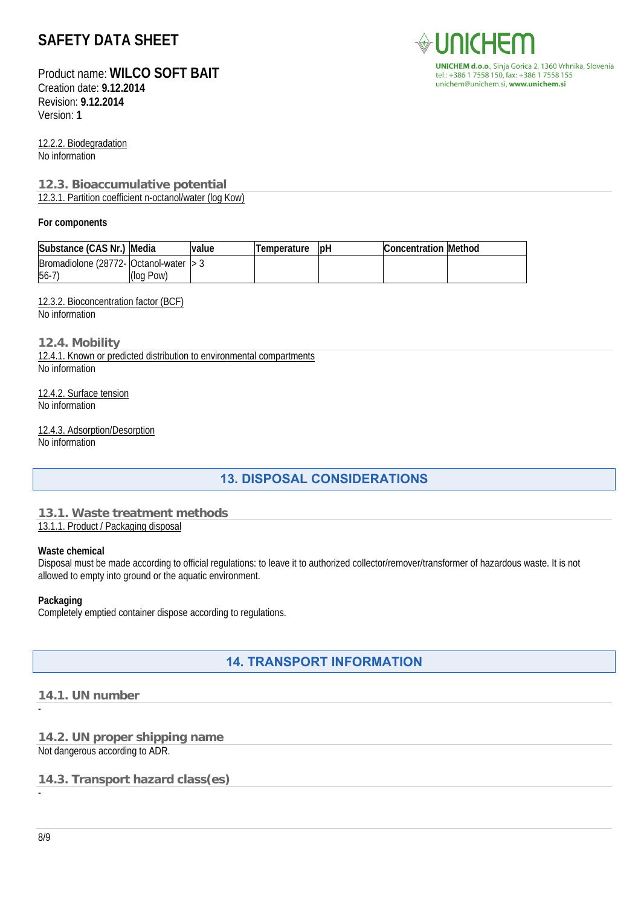Product name: **WILCO SOFT BAIT**

Creation date: **9.12.2014** Revision: **9.12.2014** Version: **1**

12.2.2. Biodegradation No information

## **12.3. Bioaccumulative potential**

12.3.1. Partition coefficient n-octanol/water (log Kow)

#### **For components**

| Substance (CAS Nr.)                                            | Media     | value | I lemperature | <b>IDH</b> | <b>Concentration Method</b> |  |
|----------------------------------------------------------------|-----------|-------|---------------|------------|-----------------------------|--|
| $\blacksquare$ Bromadiolone (28772 - Octanol-water $\vert$ > 3 |           |       |               |            |                             |  |
| $56 - 7$                                                       | (log Pow) |       |               |            |                             |  |

#### 12.3.2. Bioconcentration factor (BCF)

No information

#### **12.4. Mobility**

12.4.1. Known or predicted distribution to environmental compartments No information

12.4.2. Surface tension No information

# 12.4.3. Adsorption/Desorption

No information

## **13. DISPOSAL CONSIDERATIONS**

#### **13.1. Waste treatment methods**  13.1.1. Product / Packaging disposal

#### **Waste chemical**

Disposal must be made according to official regulations: to leave it to authorized collector/remover/transformer of hazardous waste. It is not allowed to empty into ground or the aquatic environment.

#### **Packaging**

Completely emptied container dispose according to regulations.

## **14. TRANSPORT INFORMATION**

### **14.1. UN number**

## **14.2. UN proper shipping name**

Not dangerous according to ADR.

### **14.3. Transport hazard class(es)**

**UNICHEM d.o.o.**, Sinja Gorica 2, 1360 Vrhnika, Slovenia tel.: +386 1 7558 150, fax: +386 1 7558 155 unichem@unichem.si, www.unichem.si

-

-